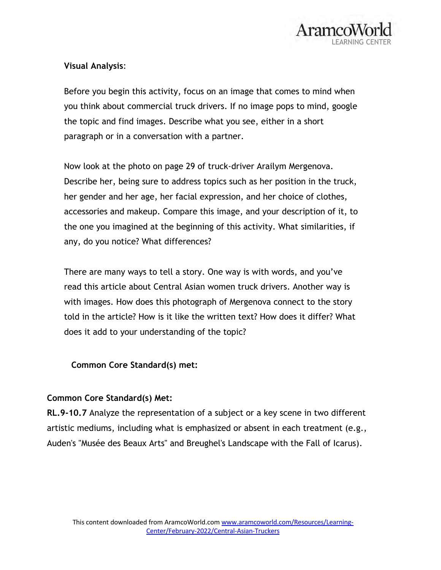

## **Visual Analysis**:

Before you begin this activity, focus on an image that comes to mind when you think about commercial truck drivers. If no image pops to mind, google the topic and find images. Describe what you see, either in a short paragraph or in a conversation with a partner.

Now look at the photo on page 29 of truck-driver Arailym Mergenova. Describe her, being sure to address topics such as her position in the truck, her gender and her age, her facial expression, and her choice of clothes, accessories and makeup. Compare this image, and your description of it, to the one you imagined at the beginning of this activity. What similarities, if any, do you notice? What differences?

There are many ways to tell a story. One way is with words, and you've read this article about Central Asian women truck drivers. Another way is with images. How does this photograph of Mergenova connect to the story told in the article? How is it like the written text? How does it differ? What does it add to your understanding of the topic?

## **Common Core Standard(s) met:**

## **Common Core Standard(s) Met:**

**RL.9-10.7** Analyze the representation of a subject or a key scene in two different artistic mediums, including what is emphasized or absent in each treatment (e.g., Auden's "Musée des Beaux Arts" and Breughel's Landscape with the Fall of Icarus).